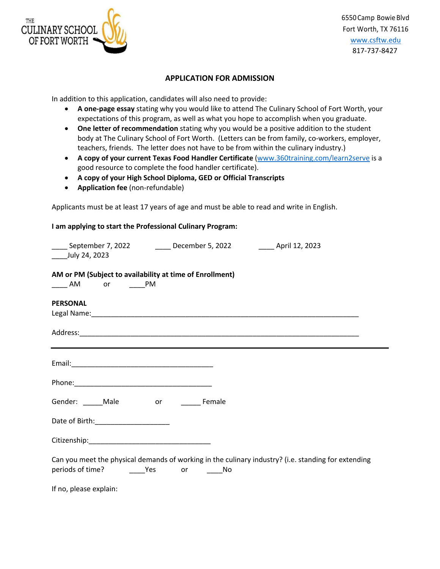

## **APPLICATION FOR ADMISSION**

In addition to this application, candidates will also need to provide:

- **A one-page essay** stating why you would like to attend The Culinary School of Fort Worth, your expectations of this program, as well as what you hope to accomplish when you graduate.
- **One letter of recommendation** stating why you would be a positive addition to the student body at The Culinary School of Fort Worth. (Letters can be from family, co-workers, employer, teachers, friends. The letter does not have to be from within the culinary industry.)
- **A copy of your current Texas Food Handler Certificate** (www.360training.com/learn2serve is a good resource to complete the food handler certificate).
- **A copy of your High School Diploma, GED or Official Transcripts**
- **Application fee** (non-refundable)

Applicants must be at least 17 years of age and must be able to read and write in English.

## **I am applying to start the Professional Culinary Program:**

| _____ September 7, 2022 __________ December 5, 2022 __________ April 12, 2023<br>July 24, 2023          |  |                                                                                                     |
|---------------------------------------------------------------------------------------------------------|--|-----------------------------------------------------------------------------------------------------|
| AM or PM (Subject to availability at time of Enrollment)<br>or _______PM<br>$\overline{\phantom{0}}$ AM |  |                                                                                                     |
| <b>PERSONAL</b>                                                                                         |  |                                                                                                     |
| <u> 1989 - Johann Stoff, amerikansk politiker (d. 1989)</u>                                             |  |                                                                                                     |
|                                                                                                         |  |                                                                                                     |
|                                                                                                         |  |                                                                                                     |
| Gender: Male or Female                                                                                  |  |                                                                                                     |
|                                                                                                         |  |                                                                                                     |
|                                                                                                         |  |                                                                                                     |
|                                                                                                         |  | Can you meet the physical demands of working in the culinary industry? (i.e. standing for extending |
| If no, please explain:                                                                                  |  |                                                                                                     |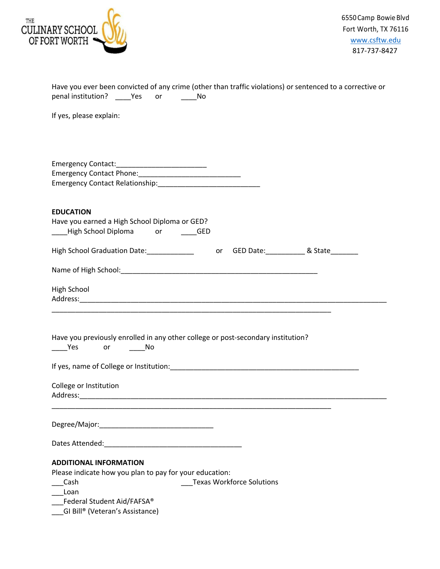

| Have you ever been convicted of any crime (other than traffic violations) or sentenced to a corrective or<br>penal institution? ______ Yes ____ or<br><u>na amin'ny fivondronan-kaominin'i A</u> |
|--------------------------------------------------------------------------------------------------------------------------------------------------------------------------------------------------|
| If yes, please explain:                                                                                                                                                                          |
|                                                                                                                                                                                                  |
| <b>EDUCATION</b><br>Have you earned a High School Diploma or GED?                                                                                                                                |
|                                                                                                                                                                                                  |
|                                                                                                                                                                                                  |
| High School                                                                                                                                                                                      |
| Have you previously enrolled in any other college or post-secondary institution?<br><b>Example 19 Yes</b><br>or No                                                                               |
| If yes, name of College or Institution: [19] The College of Institution:                                                                                                                         |
| College or Institution<br>Address:                                                                                                                                                               |
|                                                                                                                                                                                                  |
|                                                                                                                                                                                                  |
| <b>ADDITIONAL INFORMATION</b><br>Please indicate how you plan to pay for your education:<br><b>Texas Workforce Solutions</b><br>Cash<br>Loan<br>Federal Student Aid/FAFSA®                       |
| GI Bill® (Veteran's Assistance)                                                                                                                                                                  |